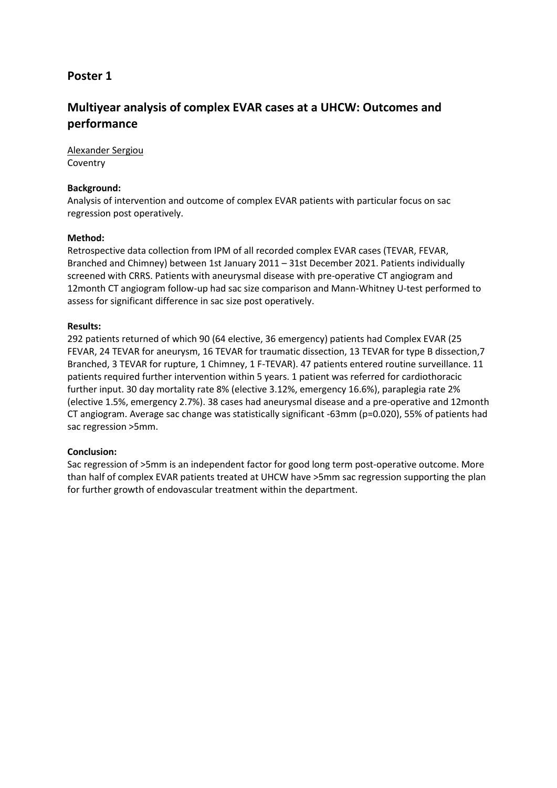# **Multiyear analysis of complex EVAR cases at a UHCW: Outcomes and performance**

Alexander Sergiou Coventry

### **Background:**

Analysis of intervention and outcome of complex EVAR patients with particular focus on sac regression post operatively.

# **Method:**

Retrospective data collection from IPM of all recorded complex EVAR cases (TEVAR, FEVAR, Branched and Chimney) between 1st January 2011 – 31st December 2021. Patients individually screened with CRRS. Patients with aneurysmal disease with pre-operative CT angiogram and 12month CT angiogram follow-up had sac size comparison and Mann-Whitney U-test performed to assess for significant difference in sac size post operatively.

# **Results:**

292 patients returned of which 90 (64 elective, 36 emergency) patients had Complex EVAR (25 FEVAR, 24 TEVAR for aneurysm, 16 TEVAR for traumatic dissection, 13 TEVAR for type B dissection,7 Branched, 3 TEVAR for rupture, 1 Chimney, 1 F-TEVAR). 47 patients entered routine surveillance. 11 patients required further intervention within 5 years. 1 patient was referred for cardiothoracic further input. 30 day mortality rate 8% (elective 3.12%, emergency 16.6%), paraplegia rate 2% (elective 1.5%, emergency 2.7%). 38 cases had aneurysmal disease and a pre-operative and 12month CT angiogram. Average sac change was statistically significant -63mm (p=0.020), 55% of patients had sac regression >5mm.

#### **Conclusion:**

Sac regression of >5mm is an independent factor for good long term post-operative outcome. More than half of complex EVAR patients treated at UHCW have >5mm sac regression supporting the plan for further growth of endovascular treatment within the department.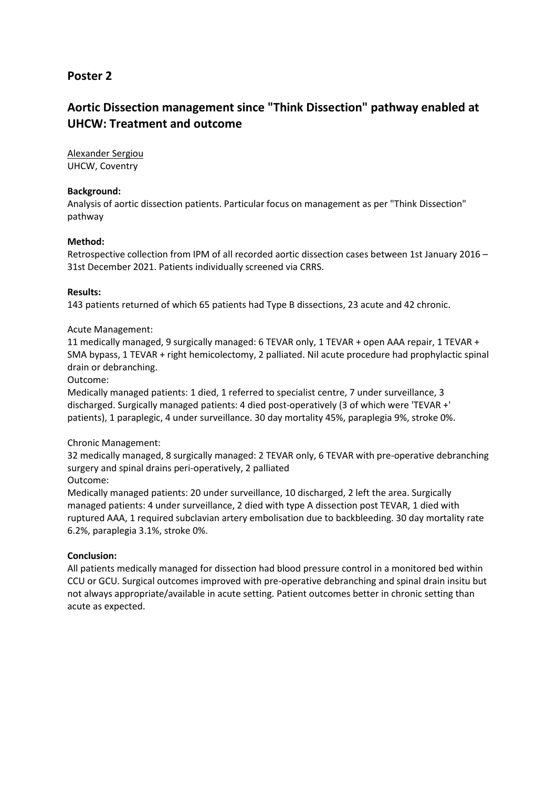# **Aortic Dissection management since "Think Dissection" pathway enabled at UHCW: Treatment and outcome**

Alexander Sergiou UHCW, Coventry

### **Background:**

Analysis of aortic dissection patients. Particular focus on management as per "Think Dissection" pathway

#### **Method:**

Retrospective collection from IPM of all recorded aortic dissection cases between 1st January 2016 – 31st December 2021. Patients individually screened via CRRS.

#### **Results:**

143 patients returned of which 65 patients had Type B dissections, 23 acute and 42 chronic.

#### Acute Management:

11 medically managed, 9 surgically managed: 6 TEVAR only, 1 TEVAR + open AAA repair, 1 TEVAR + SMA bypass, 1 TEVAR + right hemicolectomy, 2 palliated. Nil acute procedure had prophylactic spinal drain or debranching.

Outcome:

Medically managed patients: 1 died, 1 referred to specialist centre, 7 under surveillance, 3 discharged. Surgically managed patients: 4 died post-operatively (3 of which were 'TEVAR +' patients), 1 paraplegic, 4 under surveillance. 30 day mortality 45%, paraplegia 9%, stroke 0%.

#### Chronic Management:

32 medically managed, 8 surgically managed: 2 TEVAR only, 6 TEVAR with pre-operative debranching surgery and spinal drains peri-operatively, 2 palliated Outcome:

Medically managed patients: 20 under surveillance, 10 discharged, 2 left the area. Surgically managed patients: 4 under surveillance, 2 died with type A dissection post TEVAR, 1 died with ruptured AAA, 1 required subclavian artery embolisation due to backbleeding. 30 day mortality rate 6.2%, paraplegia 3.1%, stroke 0%.

#### **Conclusion:**

All patients medically managed for dissection had blood pressure control in a monitored bed within CCU or GCU. Surgical outcomes improved with pre-operative debranching and spinal drain insitu but not always appropriate/available in acute setting. Patient outcomes better in chronic setting than acute as expected.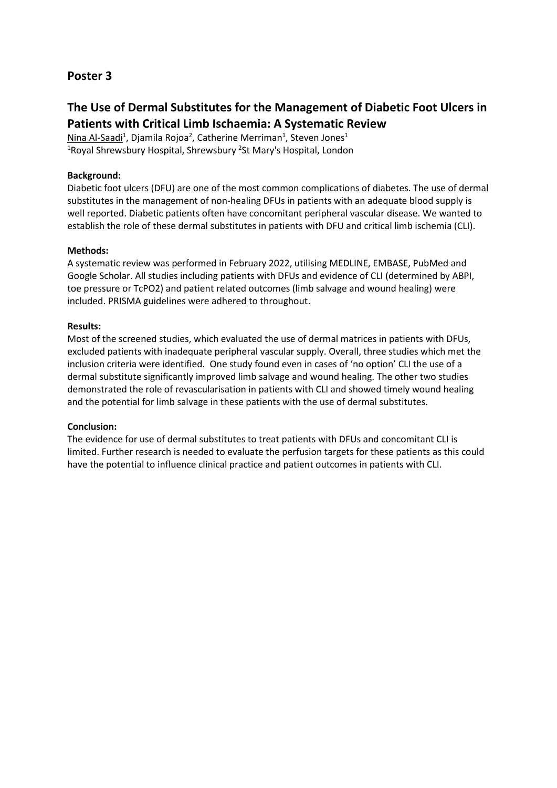# **The Use of Dermal Substitutes for the Management of Diabetic Foot Ulcers in Patients with Critical Limb Ischaemia: A Systematic Review**

Nina Al-Saadi<sup>1</sup>, Djamila Rojoa<sup>2</sup>, Catherine Merriman<sup>1</sup>, Steven Jones<sup>1</sup> <sup>1</sup>Royal Shrewsbury Hospital, Shrewsbury <sup>2</sup>St Mary's Hospital, London

### **Background:**

Diabetic foot ulcers (DFU) are one of the most common complications of diabetes. The use of dermal substitutes in the management of non-healing DFUs in patients with an adequate blood supply is well reported. Diabetic patients often have concomitant peripheral vascular disease. We wanted to establish the role of these dermal substitutes in patients with DFU and critical limb ischemia (CLI).

#### **Methods:**

A systematic review was performed in February 2022, utilising MEDLINE, EMBASE, PubMed and Google Scholar. All studies including patients with DFUs and evidence of CLI (determined by ABPI, toe pressure or TcPO2) and patient related outcomes (limb salvage and wound healing) were included. PRISMA guidelines were adhered to throughout.

# **Results:**

Most of the screened studies, which evaluated the use of dermal matrices in patients with DFUs, excluded patients with inadequate peripheral vascular supply. Overall, three studies which met the inclusion criteria were identified. One study found even in cases of 'no option' CLI the use of a dermal substitute significantly improved limb salvage and wound healing. The other two studies demonstrated the role of revascularisation in patients with CLI and showed timely wound healing and the potential for limb salvage in these patients with the use of dermal substitutes.

#### **Conclusion:**

The evidence for use of dermal substitutes to treat patients with DFUs and concomitant CLI is limited. Further research is needed to evaluate the perfusion targets for these patients as this could have the potential to influence clinical practice and patient outcomes in patients with CLI.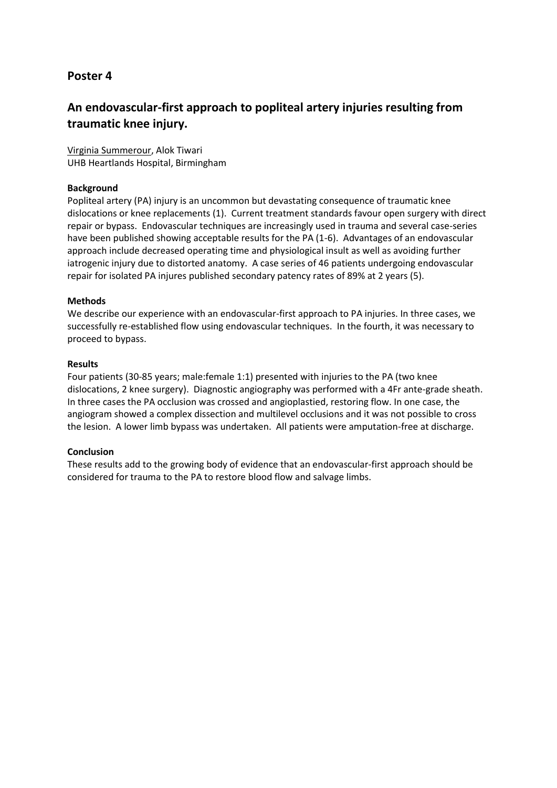# **An endovascular-first approach to popliteal artery injuries resulting from traumatic knee injury.**

Virginia Summerour, Alok Tiwari UHB Heartlands Hospital, Birmingham

### **Background**

Popliteal artery (PA) injury is an uncommon but devastating consequence of traumatic knee dislocations or knee replacements (1). Current treatment standards favour open surgery with direct repair or bypass. Endovascular techniques are increasingly used in trauma and several case-series have been published showing acceptable results for the PA (1-6). Advantages of an endovascular approach include decreased operating time and physiological insult as well as avoiding further iatrogenic injury due to distorted anatomy. A case series of 46 patients undergoing endovascular repair for isolated PA injures published secondary patency rates of 89% at 2 years (5).

#### **Methods**

We describe our experience with an endovascular-first approach to PA injuries. In three cases, we successfully re-established flow using endovascular techniques. In the fourth, it was necessary to proceed to bypass.

# **Results**

Four patients (30-85 years; male:female 1:1) presented with injuries to the PA (two knee dislocations, 2 knee surgery). Diagnostic angiography was performed with a 4Fr ante-grade sheath. In three cases the PA occlusion was crossed and angioplastied, restoring flow. In one case, the angiogram showed a complex dissection and multilevel occlusions and it was not possible to cross the lesion. A lower limb bypass was undertaken. All patients were amputation-free at discharge.

#### **Conclusion**

These results add to the growing body of evidence that an endovascular-first approach should be considered for trauma to the PA to restore blood flow and salvage limbs.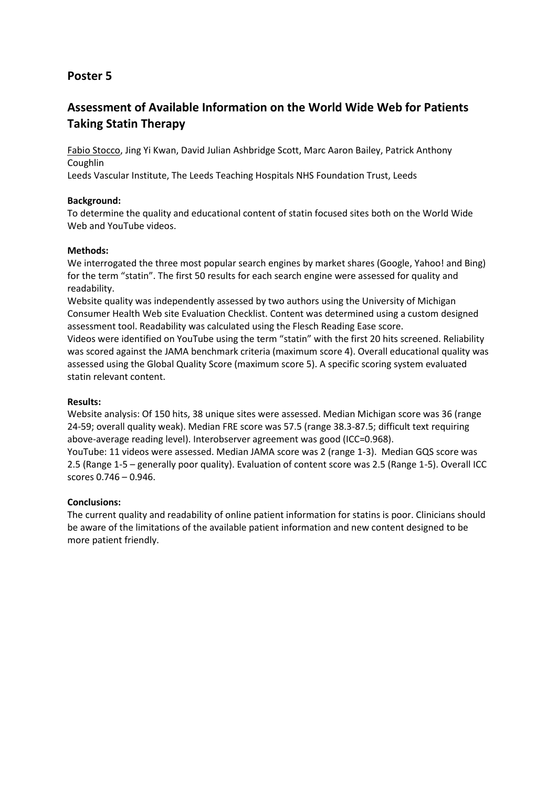# **Assessment of Available Information on the World Wide Web for Patients Taking Statin Therapy**

Fabio Stocco, Jing Yi Kwan, David Julian Ashbridge Scott, Marc Aaron Bailey, Patrick Anthony **Coughlin** 

Leeds Vascular Institute, The Leeds Teaching Hospitals NHS Foundation Trust, Leeds

# **Background:**

To determine the quality and educational content of statin focused sites both on the World Wide Web and YouTube videos.

# **Methods:**

We interrogated the three most popular search engines by market shares (Google, Yahoo! and Bing) for the term "statin". The first 50 results for each search engine were assessed for quality and readability.

Website quality was independently assessed by two authors using the University of Michigan Consumer Health Web site Evaluation Checklist. Content was determined using a custom designed assessment tool. Readability was calculated using the Flesch Reading Ease score.

Videos were identified on YouTube using the term "statin" with the first 20 hits screened. Reliability was scored against the JAMA benchmark criteria (maximum score 4). Overall educational quality was assessed using the Global Quality Score (maximum score 5). A specific scoring system evaluated statin relevant content.

#### **Results:**

Website analysis: Of 150 hits, 38 unique sites were assessed. Median Michigan score was 36 (range 24-59; overall quality weak). Median FRE score was 57.5 (range 38.3-87.5; difficult text requiring above-average reading level). Interobserver agreement was good (ICC=0.968).

YouTube: 11 videos were assessed. Median JAMA score was 2 (range 1-3). Median GQS score was 2.5 (Range 1-5 – generally poor quality). Evaluation of content score was 2.5 (Range 1-5). Overall ICC scores 0.746 – 0.946.

#### **Conclusions:**

The current quality and readability of online patient information for statins is poor. Clinicians should be aware of the limitations of the available patient information and new content designed to be more patient friendly.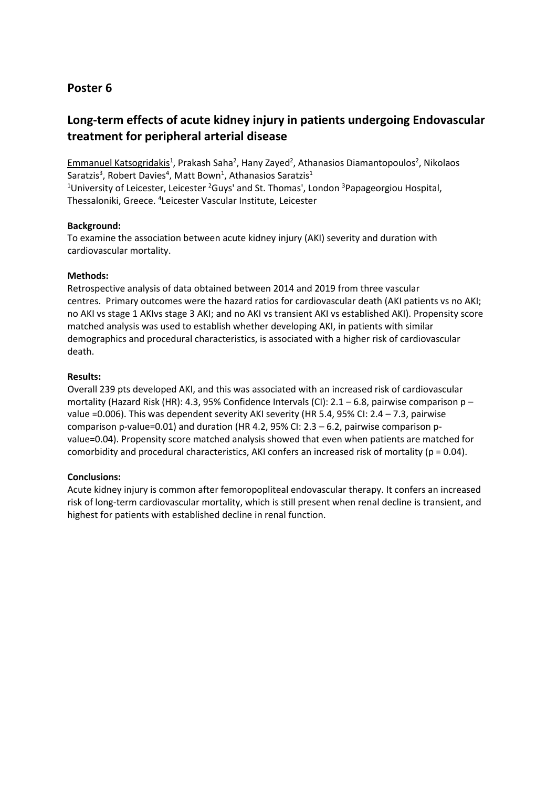# **Long-term effects of acute kidney injury in patients undergoing Endovascular treatment for peripheral arterial disease**

Emmanuel Katsogridakis<sup>1</sup>, Prakash Saha<sup>2</sup>, Hany Zayed<sup>2</sup>, Athanasios Diamantopoulos<sup>2</sup>, Nikolaos Saratzis<sup>3</sup>, Robert Davies<sup>4</sup>, Matt Bown<sup>1</sup>, Athanasios Saratzis<sup>1</sup> <sup>1</sup>University of Leicester, Leicester <sup>2</sup>Guys' and St. Thomas', London <sup>3</sup>Papageorgiou Hospital, Thessaloniki, Greece. <sup>4</sup> Leicester Vascular Institute, Leicester

# **Background:**

To examine the association between acute kidney injury (AKI) severity and duration with cardiovascular mortality.

# **Methods:**

Retrospective analysis of data obtained between 2014 and 2019 from three vascular centres. Primary outcomes were the hazard ratios for cardiovascular death (AKI patients vs no AKI; no AKI vs stage 1 AKIvs stage 3 AKI; and no AKI vs transient AKI vs established AKI). Propensity score matched analysis was used to establish whether developing AKI, in patients with similar demographics and procedural characteristics, is associated with a higher risk of cardiovascular death.

# **Results:**

Overall 239 pts developed AKI, and this was associated with an increased risk of cardiovascular mortality (Hazard Risk (HR): 4.3, 95% Confidence Intervals (CI):  $2.1 - 6.8$ , pairwise comparison p – value =0.006). This was dependent severity AKI severity (HR 5.4, 95% CI: 2.4 – 7.3, pairwise comparison p-value=0.01) and duration (HR 4.2, 95% CI: 2.3 – 6.2, pairwise comparison pvalue=0.04). Propensity score matched analysis showed that even when patients are matched for comorbidity and procedural characteristics, AKI confers an increased risk of mortality ( $p = 0.04$ ).

#### **Conclusions:**

Acute kidney injury is common after femoropopliteal endovascular therapy. It confers an increased risk of long-term cardiovascular mortality, which is still present when renal decline is transient, and highest for patients with established decline in renal function.